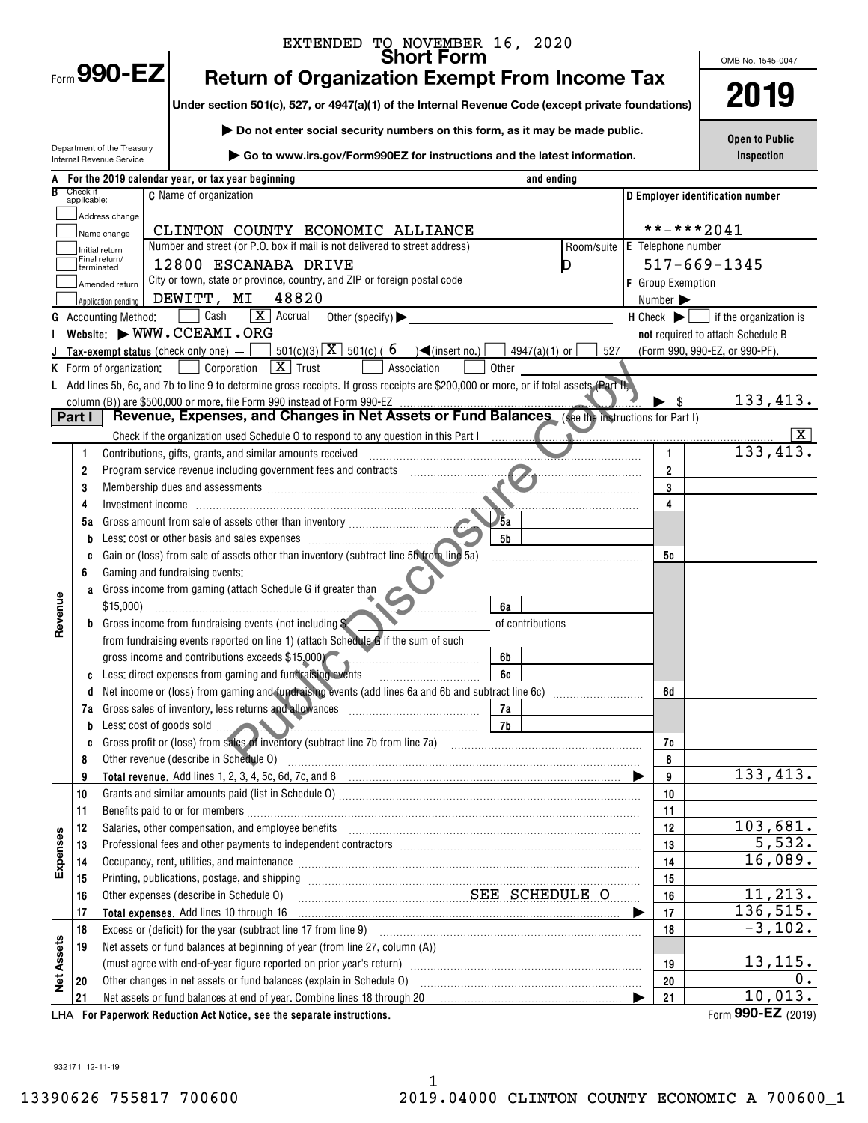|                   |                         |                                 | EXTENDED TO NOVEMBER 16, 2020                                                                                                                                                                                                 |                              |                                                               |
|-------------------|-------------------------|---------------------------------|-------------------------------------------------------------------------------------------------------------------------------------------------------------------------------------------------------------------------------|------------------------------|---------------------------------------------------------------|
|                   |                         | Form 990-EZ                     | <b>Return of Organization Exempt From Income Tax</b>                                                                                                                                                                          |                              | OMB No. 1545-0047                                             |
|                   |                         |                                 | Under section 501(c), 527, or 4947(a)(1) of the Internal Revenue Code (except private foundations)                                                                                                                            |                              | 2019                                                          |
|                   |                         |                                 |                                                                                                                                                                                                                               |                              |                                                               |
|                   |                         | Department of the Treasury      | Do not enter social security numbers on this form, as it may be made public.                                                                                                                                                  |                              | <b>Open to Public</b>                                         |
|                   |                         | Internal Revenue Service        | Go to www.irs.gov/Form990EZ for instructions and the latest information.                                                                                                                                                      |                              | Inspection                                                    |
|                   |                         |                                 | A For the 2019 calendar year, or tax year beginning<br>and ending                                                                                                                                                             |                              |                                                               |
|                   | Check if<br>applicable: |                                 | <b>C</b> Name of organization                                                                                                                                                                                                 |                              | D Employer identification number                              |
|                   |                         | Address change                  |                                                                                                                                                                                                                               |                              |                                                               |
|                   |                         | Name change                     | CLINTON COUNTY ECONOMIC ALLIANCE<br>Number and street (or P.O. box if mail is not delivered to street address)<br>Room/suite                                                                                                  | <b>E</b> Telephone number    | **-***2041                                                    |
|                   |                         | Initial return<br>Final return/ | 12800 ESCANABA DRIVE<br>D                                                                                                                                                                                                     |                              | $517 - 669 - 1345$                                            |
|                   |                         | terminated<br>Amended return    | City or town, state or province, country, and ZIP or foreign postal code                                                                                                                                                      | <b>F</b> Group Exemption     |                                                               |
|                   |                         | Application pending             | 48820<br>DEWITT, MI                                                                                                                                                                                                           | Number $\blacktriangleright$ |                                                               |
|                   |                         | <b>Accounting Method:</b>       | $\boxed{\mathbf{X}}$ Accrual<br>Cash<br>Other (specify) $\blacktriangleright$                                                                                                                                                 |                              | $H$ Check $\blacktriangleright$ $\Box$ if the organization is |
|                   |                         |                                 | Website: WWW.CCEAMI.ORG                                                                                                                                                                                                       |                              | not required to attach Schedule B                             |
|                   |                         |                                 | $501(c)(3)$ $X$ $501(c)$ (6<br>$\sqrt{\frac{2}{1}}$ (insert no.)<br>Tax-exempt status (check only one) $-$<br>$4947(a)(1)$ or<br>527                                                                                          |                              | (Form 990, 990-EZ, or 990-PF).                                |
|                   |                         | K Form of organization:         | $\boxed{\mathbf{X}}$ Trust<br>Corporation<br>Association<br>Other                                                                                                                                                             |                              |                                                               |
|                   |                         |                                 | L Add lines 5b, 6c, and 7b to line 9 to determine gross receipts. If gross receipts are \$200,000 or more, or if total assets (Part II,                                                                                       |                              |                                                               |
|                   | Part I                  |                                 | column (B)) are \$500,000 or more, file Form 990 instead of Form 990-EZ<br>Revenue, Expenses, and Changes in Net Assets or Fund Balances (see the instructions for Part I)                                                    | - \$                         | 133,413.                                                      |
|                   |                         |                                 | Check if the organization used Schedule 0 to respond to any question in this Part I                                                                                                                                           |                              | $ {\bf X} $                                                   |
|                   | 1                       |                                 | Contributions, gifts, grants, and similar amounts received                                                                                                                                                                    | 1                            | 133,413.                                                      |
|                   | 2                       |                                 |                                                                                                                                                                                                                               | $\overline{2}$               |                                                               |
|                   | 3                       |                                 | Membership dues and assessments [11] Membership dues and assessments [11] Membership dues and assessments                                                                                                                     | 3                            |                                                               |
|                   | 4                       |                                 |                                                                                                                                                                                                                               | 4                            |                                                               |
|                   | 5а                      |                                 | 5a                                                                                                                                                                                                                            |                              |                                                               |
|                   | b                       |                                 | <b>5b</b>                                                                                                                                                                                                                     |                              |                                                               |
|                   |                         |                                 | Gain or (loss) from sale of assets other than inventory (subtract line 5b from line 5a)                                                                                                                                       | 5c                           |                                                               |
|                   | 6                       |                                 | Gaming and fundraising events:                                                                                                                                                                                                |                              |                                                               |
|                   |                         | \$15,000                        | a Gross income from gaming (attach Schedule G if greater than<br>6a                                                                                                                                                           |                              |                                                               |
| Revenue           |                         |                                 | <b>b</b> Gross income from fundraising events (not including \$<br>of contributions                                                                                                                                           |                              |                                                               |
|                   |                         |                                 | from fundraising events reported on line 1) (attach Schedule G if the sum of such                                                                                                                                             |                              |                                                               |
|                   |                         |                                 | gross income and contributions exceeds \$15,000)<br>6b                                                                                                                                                                        |                              |                                                               |
|                   |                         |                                 | c Less: direct expenses from gaming and fundraising events<br>6c                                                                                                                                                              |                              |                                                               |
|                   | d                       |                                 |                                                                                                                                                                                                                               | 6d                           |                                                               |
|                   |                         |                                 | 7a Gross sales of inventory, less returns and allowances [111] [12] Gross sales of inventory, less returns and allowances [11] [12] $\frac{1}{2}$<br>7a                                                                       |                              |                                                               |
|                   |                         |                                 | 7b                                                                                                                                                                                                                            |                              |                                                               |
|                   | c<br>8                  |                                 | Other revenue (describe in Schedule O)                                                                                                                                                                                        | 7c<br>8                      |                                                               |
|                   | 9                       |                                 |                                                                                                                                                                                                                               | 9                            | 133,413.                                                      |
|                   | 10                      |                                 |                                                                                                                                                                                                                               | 10                           |                                                               |
|                   | 11                      |                                 |                                                                                                                                                                                                                               | 11                           |                                                               |
|                   | 12                      |                                 | Salaries, other compensation, and employee benefits [11] matter compensation and employee benefits [11] matter compensation, and employee benefits [11] matter compensation and employee benefits [11] matter compensation of | 12                           | 103,681.                                                      |
|                   | 13                      |                                 |                                                                                                                                                                                                                               | 13                           | 5,532.                                                        |
| Expenses          | 14                      |                                 | Occupancy, rent, utilities, and maintenance manufactured and announcement of the manufacture of the manufactur                                                                                                                | 14                           | 16,089.                                                       |
|                   | 15                      |                                 |                                                                                                                                                                                                                               | 15                           | 11, 213.                                                      |
|                   | 16<br>17                |                                 | SEE SCHEDULE O<br>Other expenses (describe in Schedule O)<br>Total expenses. Add lines 10 through 16                                                                                                                          | 16                           | 136,515.                                                      |
|                   | 18                      |                                 |                                                                                                                                                                                                                               | 17<br>18                     | $-3,102.$                                                     |
|                   | 19                      |                                 | Net assets or fund balances at beginning of year (from line 27, column (A))                                                                                                                                                   |                              |                                                               |
|                   |                         |                                 | (must agree with end-of-year figure reported on prior year's return) [[[[[[[[[[[[[[[[[[[[]]]]]]]]]]]                                                                                                                          | 19                           | 13,115.                                                       |
| <b>Net Assets</b> | 20                      |                                 |                                                                                                                                                                                                                               | 20                           | 0.                                                            |
|                   | 21                      |                                 | Net assets or fund balances at end of year. Combine lines 18 through 20                                                                                                                                                       | 21                           | 10,013.                                                       |
|                   |                         |                                 | LHA For Paperwork Reduction Act Notice, see the separate instructions.                                                                                                                                                        |                              | Form 990-EZ (2019)                                            |

932171 12-11-19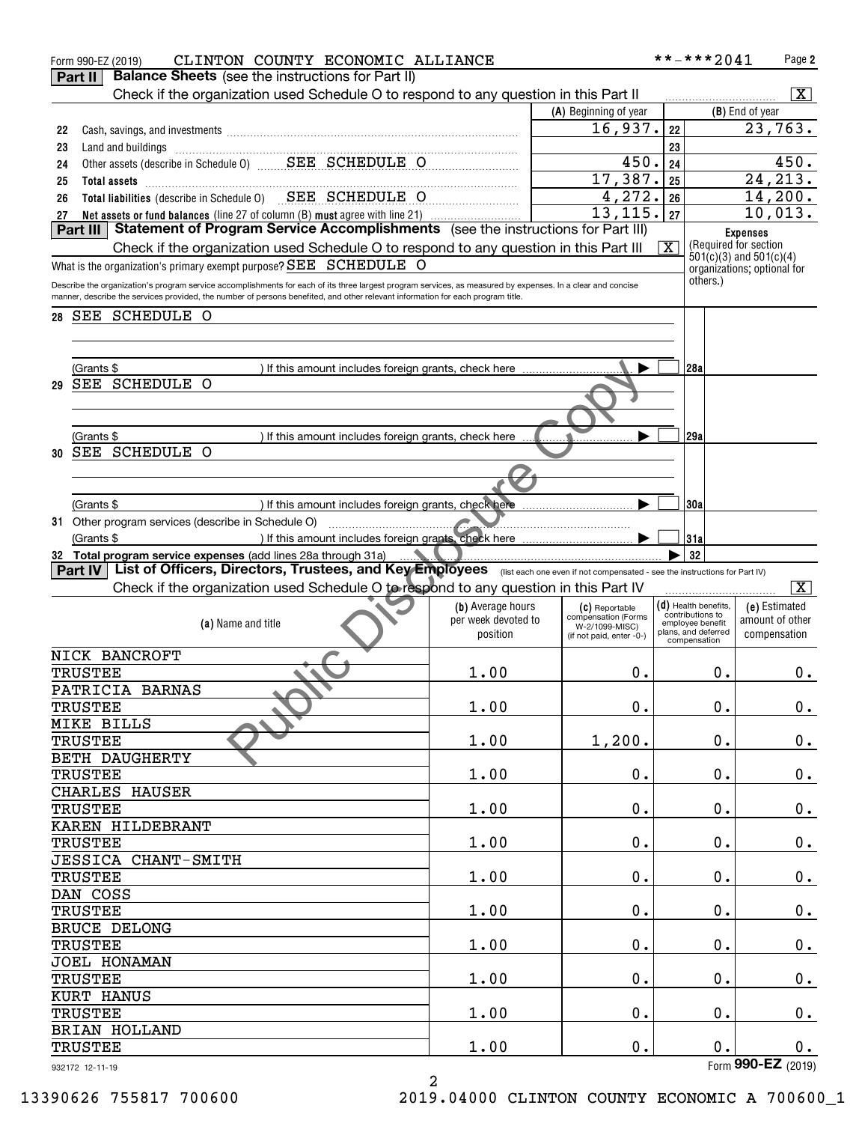|                                                                                                                                                                       | CLINTON COUNTY ECONOMIC ALLIANCE |                                       | **-***2041                                 | Page 2                                               |
|-----------------------------------------------------------------------------------------------------------------------------------------------------------------------|----------------------------------|---------------------------------------|--------------------------------------------|------------------------------------------------------|
| <b>Balance Sheets</b> (see the instructions for Part II)<br>Part II                                                                                                   |                                  |                                       |                                            |                                                      |
| Check if the organization used Schedule O to respond to any question in this Part II                                                                                  |                                  |                                       |                                            | $ \mathbf{X} $                                       |
|                                                                                                                                                                       |                                  | (A) Beginning of year                 |                                            | (B) End of year                                      |
| 22                                                                                                                                                                    |                                  | 16,937.                               | 22                                         | 23,763.                                              |
| 23<br>Land and buildings                                                                                                                                              |                                  |                                       | 23                                         |                                                      |
| 24                                                                                                                                                                    |                                  | 450.                                  | 24                                         | 450.                                                 |
| 25                                                                                                                                                                    |                                  | 17,387.                               | 25                                         | $\overline{24,213}$ .                                |
| Total assets<br>Total liabilities (describe in Schedule 0) SEE SCHEDULE O                                                                                             |                                  | 4,272.                                |                                            | 14,200.                                              |
| 26                                                                                                                                                                    |                                  | 13, 115.                              | 26                                         |                                                      |
| Net assets or fund balances (line 27 of column (B) must agree with line 21)<br>27<br>Statement of Program Service Accomplishments (see the instructions for Part III) |                                  |                                       | 27                                         | 10,013.                                              |
| Part III                                                                                                                                                              |                                  |                                       |                                            | <b>Expenses</b>                                      |
| Check if the organization used Schedule O to respond to any question in this Part III                                                                                 |                                  |                                       | $\overline{\text{X}}$                      | (Required for section<br>$501(c)(3)$ and $501(c)(4)$ |
| What is the organization's primary exempt purpose? SEE SCHEDULE O                                                                                                     |                                  |                                       |                                            | organizations; optional for                          |
| Describe the organization's program service accomplishments for each of its three largest program services, as measured by expenses. In a clear and concise           |                                  |                                       | others.)                                   |                                                      |
| manner, describe the services provided, the number of persons benefited, and other relevant information for each program title.                                       |                                  |                                       |                                            |                                                      |
| 28 SEE SCHEDULE O                                                                                                                                                     |                                  |                                       |                                            |                                                      |
|                                                                                                                                                                       |                                  |                                       |                                            |                                                      |
|                                                                                                                                                                       |                                  |                                       |                                            |                                                      |
| (Grants \$<br>) If this amount includes foreign grants, check here                                                                                                    |                                  |                                       | 28a                                        |                                                      |
| SEE SCHEDULE O<br>29                                                                                                                                                  |                                  |                                       |                                            |                                                      |
|                                                                                                                                                                       |                                  |                                       |                                            |                                                      |
|                                                                                                                                                                       |                                  |                                       |                                            |                                                      |
|                                                                                                                                                                       |                                  |                                       |                                            |                                                      |
| (Grants \$<br>) If this amount includes foreign grants, check here                                                                                                    |                                  |                                       | 29a                                        |                                                      |
| SEE SCHEDULE O<br>30                                                                                                                                                  |                                  |                                       |                                            |                                                      |
|                                                                                                                                                                       |                                  |                                       |                                            |                                                      |
|                                                                                                                                                                       |                                  |                                       |                                            |                                                      |
| ) If this amount includes foreign grants, check here<br>(Grants \$                                                                                                    |                                  |                                       | 30a                                        |                                                      |
| 31 Other program services (describe in Schedule O)                                                                                                                    |                                  |                                       |                                            |                                                      |
| ) If this amount includes foreign grants, check here<br>(Grants \$                                                                                                    |                                  |                                       | 31a                                        |                                                      |
| 32 Total program service expenses (add lines 28a through 31a)                                                                                                         |                                  |                                       | 32                                         |                                                      |
| Part IV   List of Officers, Directors, Trustees, and Key Employees (Iist each one even if not compensated - see the instructions for Part IV)                         |                                  |                                       |                                            |                                                      |
| Check if the organization used Schedule O to respond to any question in this Part IV                                                                                  |                                  |                                       |                                            | $\overline{\mathbf{x}}$                              |
|                                                                                                                                                                       |                                  |                                       |                                            |                                                      |
|                                                                                                                                                                       |                                  |                                       |                                            |                                                      |
|                                                                                                                                                                       | (b) Average hours                | (C) Reportable                        | $(d)$ Health benefits,<br>contributions to | (e) Estimated                                        |
| (a) Name and title                                                                                                                                                    | per week devoted to              | compensation (Forms<br>W-2/1099-MISC) | employee benefit<br>plans, and deferred    | amount of other                                      |
|                                                                                                                                                                       | position                         | (if not paid, enter -0-)              | compensation                               | compensation                                         |
| NICK BANCROFT                                                                                                                                                         |                                  |                                       |                                            |                                                      |
| <b>TRUSTEE</b>                                                                                                                                                        | 1.00                             | 0.                                    | 0.                                         | $0$ .                                                |
| PATRICIA BARNAS                                                                                                                                                       |                                  |                                       |                                            |                                                      |
| <b>TRUSTEE</b>                                                                                                                                                        | 1.00                             | $0$ .                                 | $0$ .                                      |                                                      |
|                                                                                                                                                                       |                                  |                                       |                                            | 0.                                                   |
| MIKE BILLS                                                                                                                                                            |                                  |                                       |                                            |                                                      |
| <b>TRUSTEE</b>                                                                                                                                                        | 1.00                             | 1,200.                                | 0.                                         | $0_{.}$                                              |
| BETH DAUGHERTY                                                                                                                                                        |                                  |                                       |                                            |                                                      |
| <b>TRUSTEE</b>                                                                                                                                                        | 1.00                             | $\mathbf 0$ .                         | $0$ .                                      | $\mathbf 0$ .                                        |
| CHARLES HAUSER                                                                                                                                                        |                                  |                                       |                                            |                                                      |
| <b>TRUSTEE</b>                                                                                                                                                        | 1.00                             | $\mathbf 0$ .                         | $0$ .                                      | $\mathbf 0$ .                                        |
| KAREN HILDEBRANT                                                                                                                                                      |                                  |                                       |                                            |                                                      |
| <b>TRUSTEE</b>                                                                                                                                                        | 1.00                             | $\mathbf 0$ .                         | $\mathbf 0$ .                              | $\pmb{0}$ .                                          |
| JESSICA CHANT-SMITH                                                                                                                                                   |                                  |                                       |                                            |                                                      |
| <b>TRUSTEE</b>                                                                                                                                                        | 1.00                             | $\mathbf 0$ .                         | $0$ .                                      |                                                      |
|                                                                                                                                                                       |                                  |                                       |                                            | $\mathbf 0$ .                                        |
| DAN COSS                                                                                                                                                              |                                  |                                       |                                            |                                                      |
| <b>TRUSTEE</b>                                                                                                                                                        | 1.00                             | $\mathbf 0$ .                         | $\mathbf 0$ .                              | $\pmb{0}$ .                                          |
| <b>BRUCE DELONG</b>                                                                                                                                                   |                                  |                                       |                                            |                                                      |
| <b>TRUSTEE</b>                                                                                                                                                        | 1.00                             | $\mathbf 0$ .                         | 0.                                         | $\mathbf 0$ .                                        |
| JOEL HONAMAN                                                                                                                                                          |                                  |                                       |                                            |                                                      |
| <b>TRUSTEE</b>                                                                                                                                                        | 1.00                             | $\mathbf 0$ .                         | $\mathbf 0$ .                              | $\mathbf 0$ .                                        |
| KURT HANUS                                                                                                                                                            |                                  |                                       |                                            |                                                      |
| <b>TRUSTEE</b>                                                                                                                                                        | 1.00                             | $0$ .                                 | $0$ .                                      | 0.                                                   |
| BRIAN HOLLAND                                                                                                                                                         |                                  |                                       |                                            |                                                      |
| <b>TRUSTEE</b>                                                                                                                                                        | 1.00                             | $\mathbf 0$ .                         | $0$ .                                      | 0.                                                   |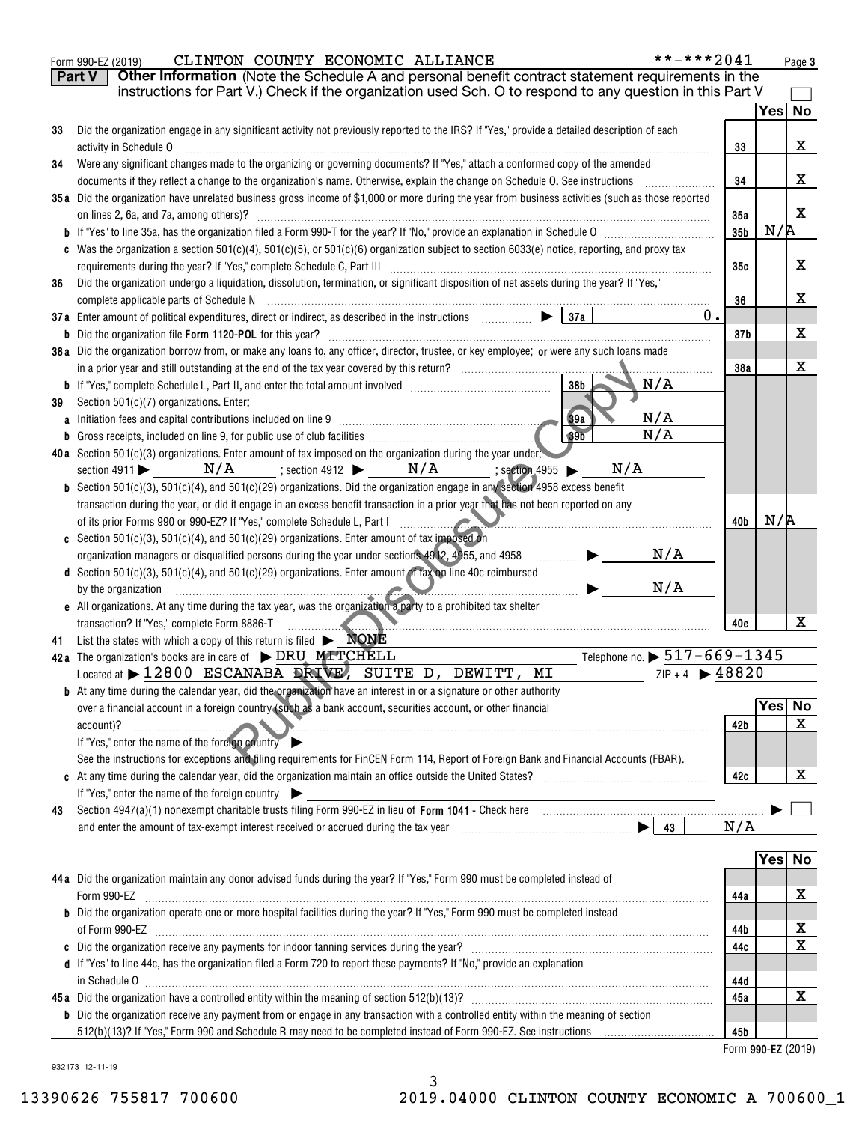|    | **-***2041<br>CLINTON COUNTY ECONOMIC ALLIANCE<br>Form 990-EZ (2019)                                                                                                                                                                                               |                    |        | Page 3 |
|----|--------------------------------------------------------------------------------------------------------------------------------------------------------------------------------------------------------------------------------------------------------------------|--------------------|--------|--------|
|    | Other Information (Note the Schedule A and personal benefit contract statement requirements in the<br><b>Part V</b>                                                                                                                                                |                    |        |        |
|    | instructions for Part V.) Check if the organization used Sch. O to respond to any question in this Part V                                                                                                                                                          |                    |        |        |
|    |                                                                                                                                                                                                                                                                    |                    |        | Yes No |
| 33 | Did the organization engage in any significant activity not previously reported to the IRS? If "Yes," provide a detailed description of each                                                                                                                       |                    |        |        |
|    | activity in Schedule O                                                                                                                                                                                                                                             | 33                 |        | x      |
| 34 | Were any significant changes made to the organizing or governing documents? If "Yes," attach a conformed copy of the amended                                                                                                                                       |                    |        |        |
|    | documents if they reflect a change to the organization's name. Otherwise, explain the change on Schedule O. See instructions                                                                                                                                       | 34                 |        | x      |
|    | 35a Did the organization have unrelated business gross income of \$1,000 or more during the year from business activities (such as those reported                                                                                                                  |                    |        |        |
|    |                                                                                                                                                                                                                                                                    | 35a                |        | x      |
|    |                                                                                                                                                                                                                                                                    | 35 <sub>b</sub>    | N/R    |        |
|    | c Was the organization a section 501(c)(4), 501(c)(5), or 501(c)(6) organization subject to section 6033(e) notice, reporting, and proxy tax                                                                                                                       |                    |        |        |
|    |                                                                                                                                                                                                                                                                    | 35c                |        | x      |
| 36 | Did the organization undergo a liquidation, dissolution, termination, or significant disposition of net assets during the year? If "Yes,"                                                                                                                          |                    |        |        |
|    |                                                                                                                                                                                                                                                                    | 36                 |        | x      |
|    | $0$ .<br>37a Enter amount of political expenditures, direct or indirect, as described in the instructions $\Box$ $\Box$ $\Box$                                                                                                                                     |                    |        |        |
|    |                                                                                                                                                                                                                                                                    | 37 <sub>b</sub>    |        | x      |
|    | 38a Did the organization borrow from, or make any loans to, any officer, director, trustee, or key employee; or were any such loans made                                                                                                                           |                    |        |        |
|    |                                                                                                                                                                                                                                                                    | 38a                |        | x      |
|    | N/A<br>38b<br><b>b</b> If "Yes," complete Schedule L, Part II, and enter the total amount involved <i>manumerane complete</i> Schedule L, Part II, and enter the total amount involved                                                                             |                    |        |        |
| 39 | Section 501(c)(7) organizations. Enter:                                                                                                                                                                                                                            |                    |        |        |
|    | 39a<br>N/A<br>a Initiation fees and capital contributions included on line 9 [11] manuscriptions and capital contributions included on line 9                                                                                                                      |                    |        |        |
|    | 39 <sub>b</sub><br>N/A<br><b>b</b> Gross receipts, included on line 9, for public use of club facilities <b>conserved</b> contains the contact of the set of the set of the set of the set of the set of the set of the set of the set of the set of the set of th |                    |        |        |
|    | 40a Section 501(c)(3) organizations. Enter amount of tax imposed on the organization during the year under:                                                                                                                                                        |                    |        |        |
|    | section 4911 $\triangleright$ $N/A$ ; section 4912 $\triangleright$ $N/A$ ; section 4955 $\triangleright$<br>N/A                                                                                                                                                   |                    |        |        |
|    | <b>b</b> Section 501(c)(3), 501(c)(4), and 501(c)(29) organizations. Did the organization engage in any section 4958 excess benefit                                                                                                                                |                    |        |        |
|    | transaction during the year, or did it engage in an excess benefit transaction in a prior year that has not been reported on any                                                                                                                                   |                    |        |        |
|    | of its prior Forms 990 or 990-EZ? If "Yes," complete Schedule L, Part I                                                                                                                                                                                            | 40b                | N/R    |        |
|    | c Section $501(c)(3)$ , $501(c)(4)$ , and $501(c)(29)$ organizations. Enter amount of tax imposed on                                                                                                                                                               |                    |        |        |
|    | N/A<br>organization managers or disqualified persons during the year under sections 4912, 4955, and 4958<br>.                                                                                                                                                      |                    |        |        |
|    | d Section 501(c)(3), 501(c)(4), and 501(c)(29) organizations. Enter amount of tax on line 40c reimbursed                                                                                                                                                           |                    |        |        |
|    | N/A<br>by the organization <i>manufacture contained a series</i> of the organization                                                                                                                                                                               |                    |        |        |
|    | e All organizations. At any time during the tax year, was the organization a party to a prohibited tax shelter                                                                                                                                                     |                    |        |        |
|    | transaction? If "Yes," complete Form 8886-T<br>$\sim$                                                                                                                                                                                                              | 40e                |        | x      |
|    | 41 List the states with which a copy of this return is filed $\blacktriangleright \blacksquare \text{NQNE}$                                                                                                                                                        |                    |        |        |
|    | Telephone no. $\triangleright$ 517-669-1345<br>42a The organization's books are in care of $\triangleright$ DRU MITCHELL                                                                                                                                           |                    |        |        |
|    | $ZIP + 4$ $\triangleright$ 48820<br>Located at > 12800 ESCANABA DRIVE, SUITE D, DEWITT, MI                                                                                                                                                                         |                    |        |        |
|    | <b>b</b> At any time during the calendar year, did the organization have an interest in or a signature or other authority                                                                                                                                          |                    |        |        |
|    | over a financial account in a foreign country (such as a bank account, securities account, or other financial                                                                                                                                                      |                    | Yes No |        |
|    | account)?                                                                                                                                                                                                                                                          | 42b                |        | x      |
|    | If "Yes," enter the name of the foreign country                                                                                                                                                                                                                    |                    |        |        |
|    | See the instructions for exceptions and filing requirements for FinCEN Form 114, Report of Foreign Bank and Financial Accounts (FBAR).                                                                                                                             |                    |        |        |
|    |                                                                                                                                                                                                                                                                    | 42c                |        | х      |
|    | If "Yes," enter the name of the foreign country                                                                                                                                                                                                                    |                    |        |        |
| 43 | and enter the amount of tax-exempt interest received or accrued during the tax year $\Box$ $\Box$ $\Box$ $\Box$                                                                                                                                                    | N/A                |        |        |
|    |                                                                                                                                                                                                                                                                    |                    |        |        |
|    |                                                                                                                                                                                                                                                                    |                    | Yes No |        |
|    | 44a Did the organization maintain any donor advised funds during the year? If "Yes," Form 990 must be completed instead of                                                                                                                                         |                    |        |        |
|    | Form 990-EZ                                                                                                                                                                                                                                                        | 44a                |        | х      |
|    | <b>b</b> Did the organization operate one or more hospital facilities during the year? If "Yes," Form 990 must be completed instead                                                                                                                                |                    |        |        |
|    |                                                                                                                                                                                                                                                                    | 44b                |        | х      |
|    |                                                                                                                                                                                                                                                                    | 44c                |        | Х      |
|    | d If "Yes" to line 44c, has the organization filed a Form 720 to report these payments? If "No," provide an explanation                                                                                                                                            |                    |        |        |
|    |                                                                                                                                                                                                                                                                    | 44d                |        |        |
|    |                                                                                                                                                                                                                                                                    | 45a                |        | x      |
|    | <b>b</b> Did the organization receive any payment from or engage in any transaction with a controlled entity within the meaning of section                                                                                                                         |                    |        |        |
|    |                                                                                                                                                                                                                                                                    | 45b                |        |        |
|    |                                                                                                                                                                                                                                                                    | Form 990-EZ (2019) |        |        |
|    |                                                                                                                                                                                                                                                                    |                    |        |        |

932173 12-11-19

3 13390626 755817 700600 2019.04000 CLINTON COUNTY ECONOMIC A 700600\_1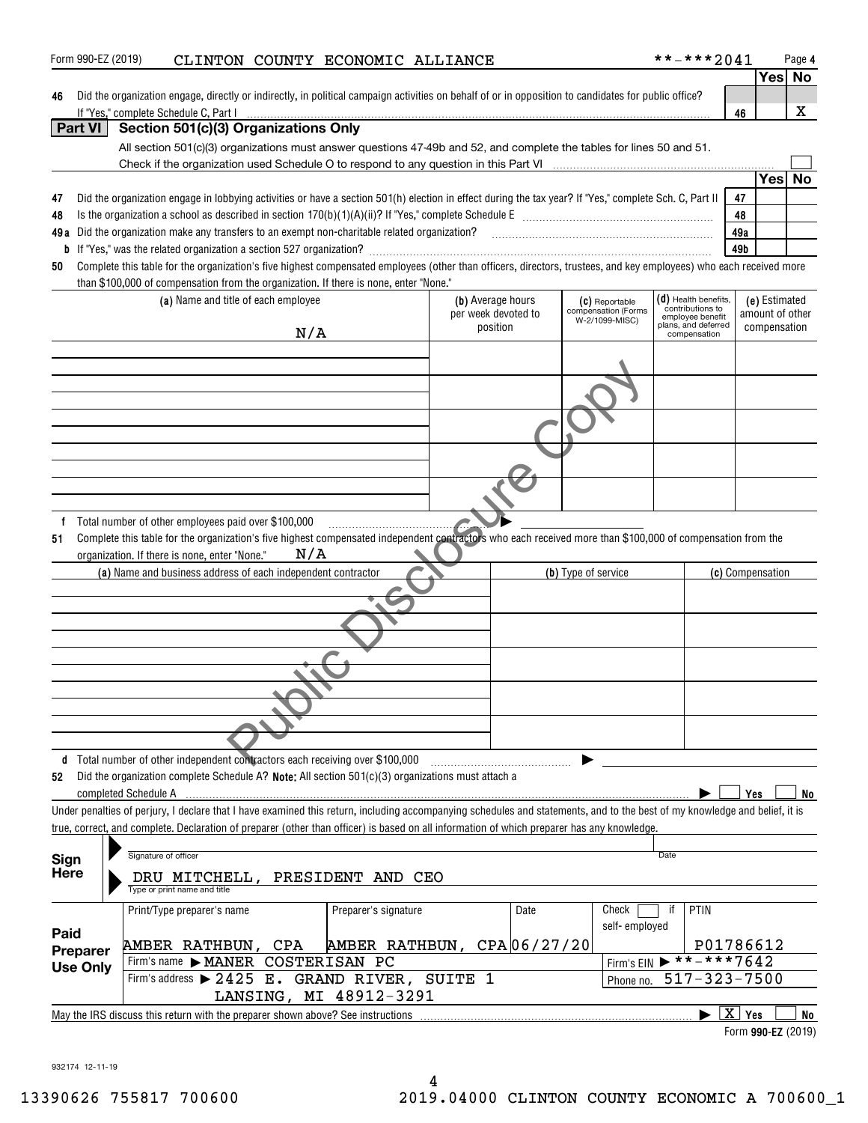|                     |                                                                                                                                                                                               |                               |                                          |                     |                                       |      |                                                                | Yes  No                                  |    |
|---------------------|-----------------------------------------------------------------------------------------------------------------------------------------------------------------------------------------------|-------------------------------|------------------------------------------|---------------------|---------------------------------------|------|----------------------------------------------------------------|------------------------------------------|----|
| 46                  | Did the organization engage, directly or indirectly, in political campaign activities on behalf of or in opposition to candidates for public office?<br>If "Yes," complete Schedule C, Part I |                               |                                          |                     |                                       |      |                                                                | 46                                       | x  |
| <b>Part VI</b>      | Section 501(c)(3) Organizations Only                                                                                                                                                          |                               |                                          |                     |                                       |      |                                                                |                                          |    |
|                     | All section 501(c)(3) organizations must answer questions 47-49b and 52, and complete the tables for lines 50 and 51.                                                                         |                               |                                          |                     |                                       |      |                                                                |                                          |    |
|                     |                                                                                                                                                                                               |                               |                                          |                     |                                       |      |                                                                |                                          |    |
| 47                  |                                                                                                                                                                                               |                               |                                          |                     |                                       |      |                                                                | Yes                                      | No |
| 48                  | Did the organization engage in lobbying activities or have a section 501(h) election in effect during the tax year? If "Yes," complete Sch. C, Part II                                        |                               |                                          |                     |                                       |      |                                                                | 47<br>48                                 |    |
| 49 a                | Did the organization make any transfers to an exempt non-charitable related organization?                                                                                                     |                               |                                          |                     |                                       |      |                                                                | 49a                                      |    |
|                     |                                                                                                                                                                                               |                               |                                          |                     |                                       |      |                                                                | 49b                                      |    |
| 50                  | Complete this table for the organization's five highest compensated employees (other than officers, directors, trustees, and key employees) who each received more                            |                               |                                          |                     |                                       |      |                                                                |                                          |    |
|                     | than \$100,000 of compensation from the organization. If there is none, enter "None."                                                                                                         |                               |                                          |                     |                                       |      |                                                                |                                          |    |
|                     | (a) Name and title of each employee                                                                                                                                                           |                               | (b) Average hours<br>per week devoted to |                     | (C) Reportable<br>compensation (Forms |      | $(d)$ Health benefits,<br>contributions to<br>employee benefit | (e) Estimated<br>amount of other         |    |
|                     | N/A                                                                                                                                                                                           |                               | position                                 |                     | W-2/1099-MISC)                        |      | plans, and deferred<br>compensation                            | compensation                             |    |
|                     |                                                                                                                                                                                               |                               |                                          |                     |                                       |      |                                                                |                                          |    |
|                     |                                                                                                                                                                                               |                               |                                          |                     |                                       |      |                                                                |                                          |    |
|                     |                                                                                                                                                                                               |                               |                                          |                     |                                       |      |                                                                |                                          |    |
|                     |                                                                                                                                                                                               |                               |                                          |                     |                                       |      |                                                                |                                          |    |
|                     |                                                                                                                                                                                               |                               |                                          |                     |                                       |      |                                                                |                                          |    |
|                     |                                                                                                                                                                                               |                               |                                          |                     |                                       |      |                                                                |                                          |    |
|                     |                                                                                                                                                                                               |                               |                                          |                     |                                       |      |                                                                |                                          |    |
|                     |                                                                                                                                                                                               |                               |                                          |                     |                                       |      |                                                                |                                          |    |
|                     |                                                                                                                                                                                               |                               |                                          |                     |                                       |      |                                                                |                                          |    |
|                     | (a) Name and business address of each independent contractor                                                                                                                                  |                               |                                          | (b) Type of service |                                       |      |                                                                | (c) Compensation                         |    |
|                     |                                                                                                                                                                                               |                               |                                          |                     |                                       |      |                                                                |                                          |    |
|                     |                                                                                                                                                                                               |                               |                                          |                     |                                       |      |                                                                |                                          |    |
|                     |                                                                                                                                                                                               |                               |                                          |                     |                                       |      |                                                                |                                          |    |
|                     |                                                                                                                                                                                               |                               |                                          |                     |                                       |      |                                                                |                                          |    |
|                     |                                                                                                                                                                                               |                               |                                          |                     |                                       |      |                                                                |                                          |    |
|                     | d Total number of other independent contractors each receiving over \$100,000                                                                                                                 |                               |                                          |                     |                                       |      |                                                                |                                          |    |
| 52                  | Did the organization complete Schedule A? Note: All section 501(c)(3) organizations must attach a                                                                                             |                               |                                          |                     |                                       |      |                                                                |                                          |    |
|                     | completed Schedule A                                                                                                                                                                          |                               |                                          |                     |                                       |      |                                                                | Yes                                      | No |
|                     | Under penalties of perjury, I declare that I have examined this return, including accompanying schedules and statements, and to the best of my knowledge and belief, it is                    |                               |                                          |                     |                                       |      |                                                                |                                          |    |
|                     | true, correct, and complete. Declaration of preparer (other than officer) is based on all information of which preparer has any knowledge.                                                    |                               |                                          |                     |                                       |      |                                                                |                                          |    |
| Sign<br><b>Here</b> | Signature of officer<br>DRU MITCHELL, PRESIDENT AND CEO<br>Type or print name and title                                                                                                       |                               |                                          |                     |                                       | Date |                                                                |                                          |    |
|                     | Print/Type preparer's name                                                                                                                                                                    | Preparer's signature          | Date                                     |                     | Check                                 | if   | PTIN                                                           |                                          |    |
| Paid                |                                                                                                                                                                                               |                               |                                          |                     | self-employed                         |      |                                                                |                                          |    |
| Preparer            | AMBER RATHBUN, CPA                                                                                                                                                                            | AMBER RATHBUN, $CPA 06/27/20$ |                                          |                     |                                       |      |                                                                | P01786612                                |    |
| <b>Use Only</b>     | Firm's name MANER                                                                                                                                                                             | COSTERISAN PC                 |                                          |                     | Firm's EIN                            |      | $\triangleright$ **-***7642                                    |                                          |    |
|                     | Firm's address > 2425 E. GRAND RIVER, SUITE 1                                                                                                                                                 |                               |                                          |                     | Phone no.                             |      |                                                                | $517 - 323 - 7500$                       |    |
|                     | LANSING, MI 48912-3291                                                                                                                                                                        |                               |                                          |                     |                                       |      |                                                                |                                          |    |
|                     |                                                                                                                                                                                               |                               |                                          |                     |                                       |      |                                                                |                                          |    |
|                     | May the IRS discuss this return with the preparer shown above? See instructions                                                                                                               |                               |                                          |                     |                                       |      |                                                                | $\overline{X}$ Yes<br>Form 990-EZ (2019) | No |

Form 990-EZ (2019) CLINTON COUNTY ECONOMIC ALLIANCE \* \* - \* \* \* 2 0 4 1 Page

932174 12-11-19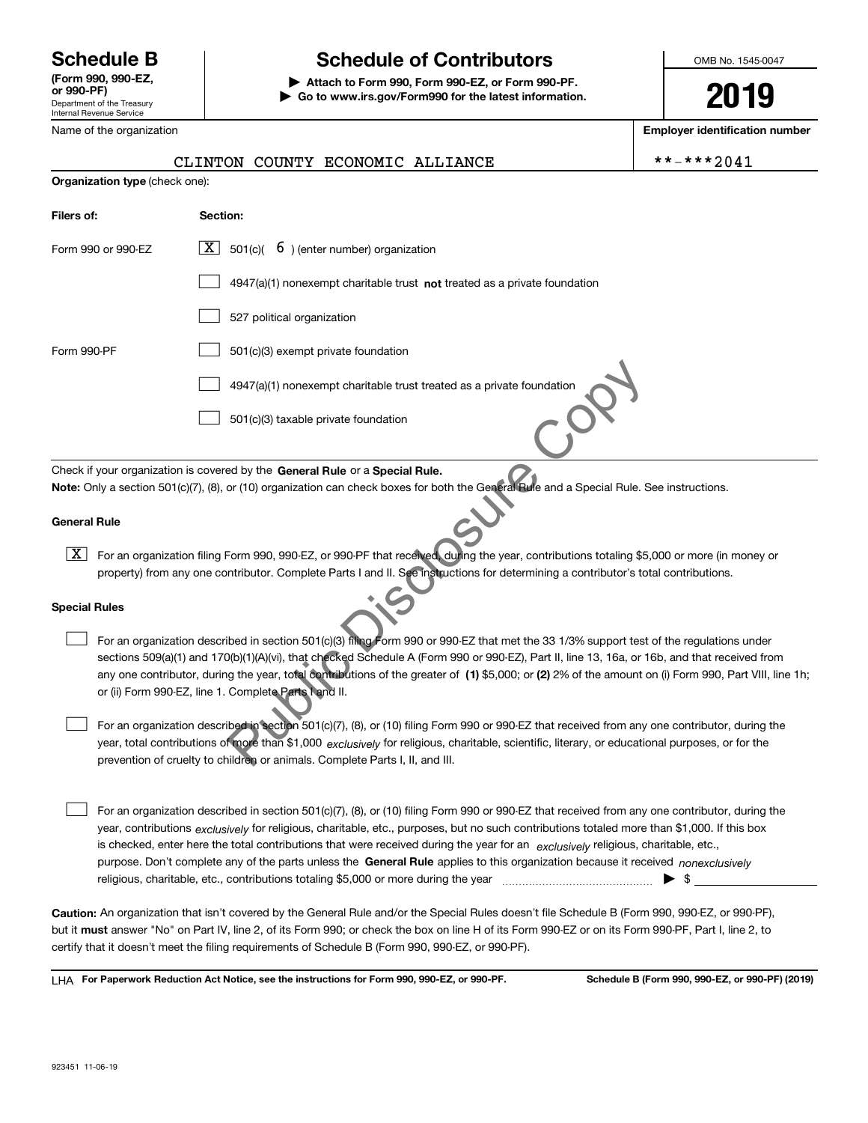Department of the Treasury Internal Revenue Service **(Form 990, 990-EZ, or 990-PF)**

Name of the organization

# **Schedule B Schedule of Contributors**

**| Attach to Form 990, Form 990-EZ, or Form 990-PF. | Go to www.irs.gov/Form990 for the latest information.** OMB No. 1545-0047

**2019**

**Employer identification number**

|                                                                                                                                                                                                                                                                                                                                                                                                                                                                                                           | CLINTON COUNTY ECONOMIC ALLIANCE                                                                                                                                                                                                                                                                                                                                                                                                                                                                                                                                                                                                                                                                                                                                                                           | **-***2041               |  |  |  |  |  |
|-----------------------------------------------------------------------------------------------------------------------------------------------------------------------------------------------------------------------------------------------------------------------------------------------------------------------------------------------------------------------------------------------------------------------------------------------------------------------------------------------------------|------------------------------------------------------------------------------------------------------------------------------------------------------------------------------------------------------------------------------------------------------------------------------------------------------------------------------------------------------------------------------------------------------------------------------------------------------------------------------------------------------------------------------------------------------------------------------------------------------------------------------------------------------------------------------------------------------------------------------------------------------------------------------------------------------------|--------------------------|--|--|--|--|--|
|                                                                                                                                                                                                                                                                                                                                                                                                                                                                                                           | Organization type (check one):                                                                                                                                                                                                                                                                                                                                                                                                                                                                                                                                                                                                                                                                                                                                                                             |                          |  |  |  |  |  |
| Filers of:                                                                                                                                                                                                                                                                                                                                                                                                                                                                                                | Section:                                                                                                                                                                                                                                                                                                                                                                                                                                                                                                                                                                                                                                                                                                                                                                                                   |                          |  |  |  |  |  |
| Form 990 or 990-EZ                                                                                                                                                                                                                                                                                                                                                                                                                                                                                        | $\boxed{\mathbf{X}}$ 501(c)( 6) (enter number) organization                                                                                                                                                                                                                                                                                                                                                                                                                                                                                                                                                                                                                                                                                                                                                |                          |  |  |  |  |  |
|                                                                                                                                                                                                                                                                                                                                                                                                                                                                                                           | $4947(a)(1)$ nonexempt charitable trust not treated as a private foundation                                                                                                                                                                                                                                                                                                                                                                                                                                                                                                                                                                                                                                                                                                                                |                          |  |  |  |  |  |
|                                                                                                                                                                                                                                                                                                                                                                                                                                                                                                           | 527 political organization                                                                                                                                                                                                                                                                                                                                                                                                                                                                                                                                                                                                                                                                                                                                                                                 |                          |  |  |  |  |  |
| Form 990-PF                                                                                                                                                                                                                                                                                                                                                                                                                                                                                               | 501(c)(3) exempt private foundation                                                                                                                                                                                                                                                                                                                                                                                                                                                                                                                                                                                                                                                                                                                                                                        |                          |  |  |  |  |  |
|                                                                                                                                                                                                                                                                                                                                                                                                                                                                                                           | 4947(a)(1) nonexempt charitable trust treated as a private foundation                                                                                                                                                                                                                                                                                                                                                                                                                                                                                                                                                                                                                                                                                                                                      |                          |  |  |  |  |  |
|                                                                                                                                                                                                                                                                                                                                                                                                                                                                                                           | 501(c)(3) taxable private foundation                                                                                                                                                                                                                                                                                                                                                                                                                                                                                                                                                                                                                                                                                                                                                                       |                          |  |  |  |  |  |
|                                                                                                                                                                                                                                                                                                                                                                                                                                                                                                           | Check if your organization is covered by the General Rule or a Special Rule.<br>Note: Only a section 501(c)(7), (8), or (10) organization can check boxes for both the General Rule and a Special Rule. See instructions.                                                                                                                                                                                                                                                                                                                                                                                                                                                                                                                                                                                  |                          |  |  |  |  |  |
| <b>General Rule</b>                                                                                                                                                                                                                                                                                                                                                                                                                                                                                       |                                                                                                                                                                                                                                                                                                                                                                                                                                                                                                                                                                                                                                                                                                                                                                                                            |                          |  |  |  |  |  |
| $\lfloor x \rfloor$                                                                                                                                                                                                                                                                                                                                                                                                                                                                                       | For an organization filing Form 990, 990-EZ, or 990-PF that received, during the year, contributions totaling \$5,000 or more (in money or<br>property) from any one contributor. Complete Parts I and II. See instructions for determining a contributor's total contributions.                                                                                                                                                                                                                                                                                                                                                                                                                                                                                                                           |                          |  |  |  |  |  |
| <b>Special Rules</b>                                                                                                                                                                                                                                                                                                                                                                                                                                                                                      |                                                                                                                                                                                                                                                                                                                                                                                                                                                                                                                                                                                                                                                                                                                                                                                                            |                          |  |  |  |  |  |
| For an organization described in section 501(c)(3) filing Form 990 or 990 EZ that met the 33 1/3% support test of the regulations under<br>sections 509(a)(1) and 170(b)(1)(A)(vi), that checked Schedule A (Form 990 or 990-EZ), Part II, line 13, 16a, or 16b, and that received from<br>any one contributor, during the year, total contributions of the greater of (1) \$5,000; or (2) 2% of the amount on (i) Form 990, Part VIII, line 1h;<br>or (ii) Form 990-EZ, line 1. Complete Parts I and II. |                                                                                                                                                                                                                                                                                                                                                                                                                                                                                                                                                                                                                                                                                                                                                                                                            |                          |  |  |  |  |  |
|                                                                                                                                                                                                                                                                                                                                                                                                                                                                                                           | For an organization described in section 501(c)(7), (8), or (10) filing Form 990 or 990-EZ that received from any one contributor, during the<br>year, total contributions of more than \$1,000 exclusively for religious, charitable, scientific, literary, or educational purposes, or for the<br>prevention of cruelty to children or animals. Complete Parts I, II, and III.                                                                                                                                                                                                                                                                                                                                                                                                                           |                          |  |  |  |  |  |
|                                                                                                                                                                                                                                                                                                                                                                                                                                                                                                           | For an organization described in section 501(c)(7), (8), or (10) filing Form 990 or 990-EZ that received from any one contributor, during the<br>year, contributions exclusively for religious, charitable, etc., purposes, but no such contributions totaled more than \$1,000. If this box<br>is checked, enter here the total contributions that were received during the year for an $exclusively$ religious, charitable, etc.,<br>purpose. Don't complete any of the parts unless the General Rule applies to this organization because it received nonexclusively<br>religious, charitable, etc., contributions totaling \$5,000 or more during the year manufactured in the vear manufactured with the vear manufactured with the vear manufactured with the vear manufactured with the vear manufa | $\blacktriangleright$ \$ |  |  |  |  |  |
|                                                                                                                                                                                                                                                                                                                                                                                                                                                                                                           | <b>Caution:</b> An organization that isn't covered by the General Rule and/or the Special Rules doesn't file Schedule B (Form 990, 990-EZ, or 990-PF),<br>but it <b>must</b> answer "No" on Part IV, line 2, of its Form 990; or check the box on line H of its Form 990-EZ or on its Form 990-PF, Part I, line 2, to<br>certify that it doesn't meet the filing requirements of Schedule B (Form 990, 990-EZ, or 990-PF).                                                                                                                                                                                                                                                                                                                                                                                 |                          |  |  |  |  |  |

**For Paperwork Reduction Act Notice, see the instructions for Form 990, 990-EZ, or 990-PF. Schedule B (Form 990, 990-EZ, or 990-PF) (2019)** LHA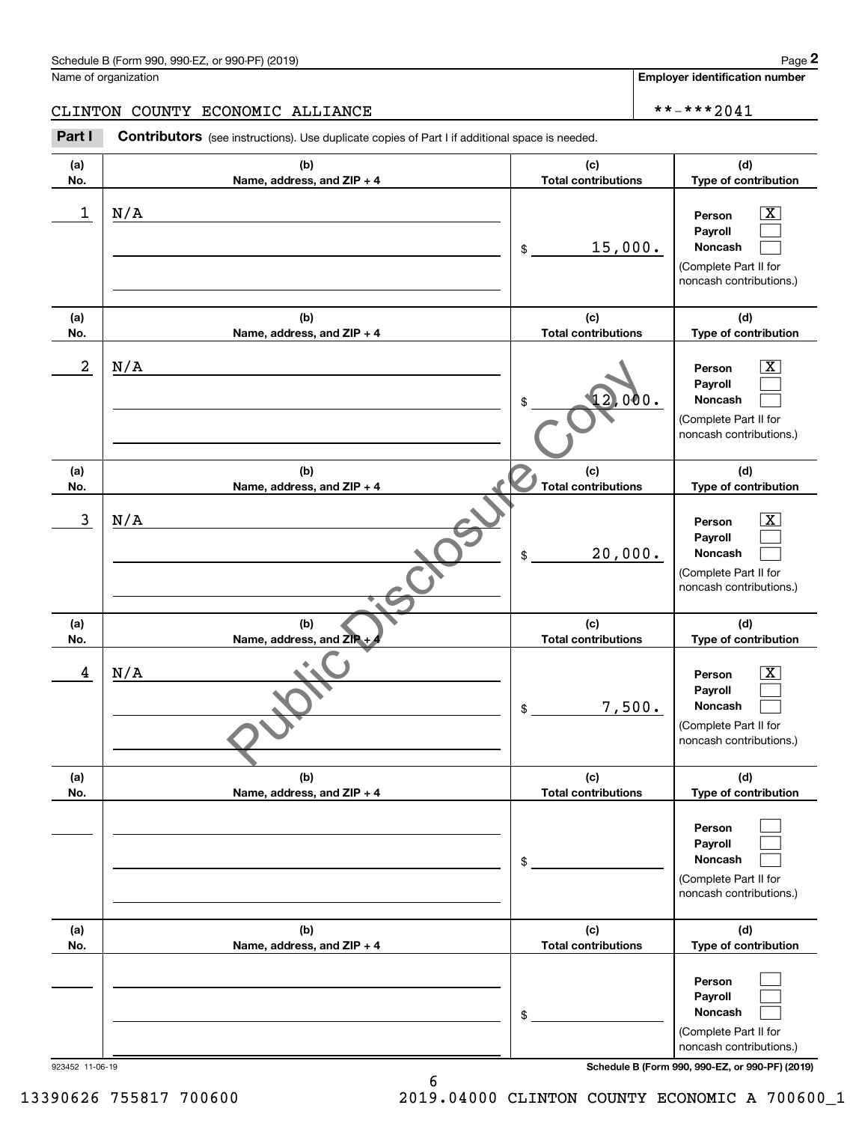**Employer identification number**

**(d)**

 $|X|$  $\mathcal{L}^{\text{max}}$  $\mathcal{L}^{\text{max}}$ 

 $\boxed{\text{X}}$  $\mathcal{L}^{\text{max}}$  $\mathcal{L}^{\text{max}}$ 

 $|X|$  $\mathcal{L}^{\text{max}}$  $\mathcal{L}^{\text{max}}$ 

 $\boxed{\text{X}}$  $\mathcal{L}^{\text{max}}$  $\mathcal{L}^{\text{max}}$ 

**(d)**

**(d)**

**(d)**

**(a)No.(b)Name, address, and ZIP + 4 (c)Total contributions Type of contribution PersonPayrollNoncash (a)No.(b)Name, address, and ZIP + 4 (c)Total contributions Type of contribution PersonPayrollNoncash (a)No.(b)Name, address, and ZIP + 4 (c)Total contributions Type of contribution PersonPayrollNoncash (a) No.(b) Name, address, and ZIP (c) Total contributions Type of contribution PersonPayrollNoncash** Schedule B (Form 990, 990-EZ, or 990-PF) (2019) **Page 2** Page 1 and 2011 **Page 2** Page 2 **Page 2** Page 1 and 2011 **Page 2** Name of organization Contributors (see instructions). Use duplicate copies of Part I if additional space is needed. \$(Complete Part II for noncash contributions.) \$(Complete Part II for noncash contributions.) \$(Complete Part II for noncash contributions.) \$(Complete Part II for noncash contributions.) **2** Chedule B (Form 990, 990-EZ, or 990-PF) (2019)<br> **2Part I 2Part I COUNTY ECONOMIC ALLIANCE**<br> **2Part I Contributors** (see instructions). Use duplicate copies of Part I if additional space is needed.  $1 \mid N/A$  Person X 15,000. N/A  $2 \mid N/A$  Person X 12,000. N/A  $3 \mid N/A$  Person X 20,000. N/A 4 N/A Person X 7,500. N/A CLINTON COUNTY ECONOMIC ALLIANCE \*\*-\*\*\*2041 Name, address, and ZIP + 4<br>
Name, address, and ZIP + 4<br>
(b)<br>
Name, address, and ZIP + 4<br>
(c)<br>
Total contributions<br>
Total contributions<br>
S<br>
Total contributions<br>
S<br>
Total contributions<br>
S<br>
Total contributions<br>
S<br>
Total contr

| (a) | (b)                          | (c)                        | (d)                                                                                     |
|-----|------------------------------|----------------------------|-----------------------------------------------------------------------------------------|
| No. | Name, address, and $ZIP + 4$ | <b>Total contributions</b> | Type of contribution                                                                    |
|     |                              | \$                         | Person<br>Payroll<br><b>Noncash</b><br>(Complete Part II for<br>noncash contributions.) |
| (a) | (b)                          | (c)                        | (d)                                                                                     |
| No. | Name, address, and ZIP + 4   | <b>Total contributions</b> | Type of contribution                                                                    |
|     |                              | \$                         | Person<br>Payroll<br><b>Noncash</b><br>(Complete Part II for<br>noncash contributions.) |

#### 923452 11-06-19 **Schedule B (Form 990, 990-EZ, or 990-PF) (2019)**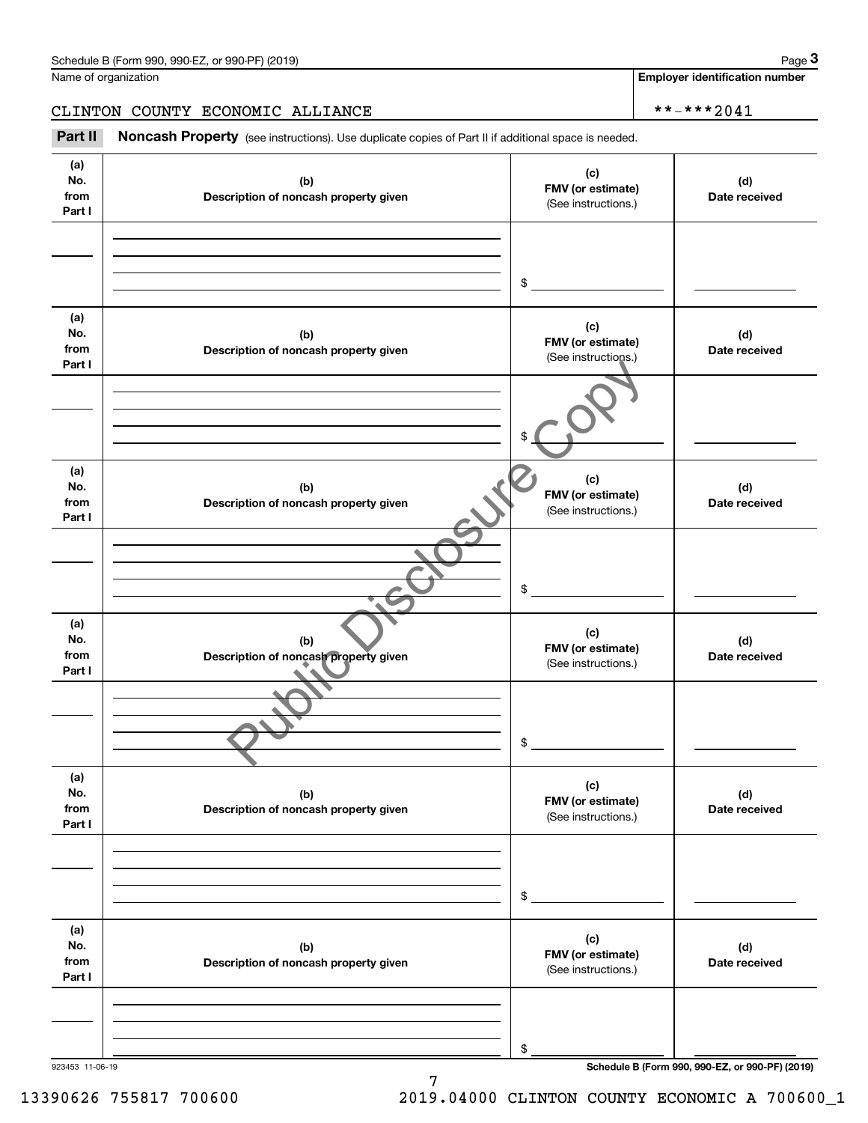|                              | Schedule B (Form 990, 990-EZ, or 990-PF) (2019)                                                     |                                                 | Page 3                                          |
|------------------------------|-----------------------------------------------------------------------------------------------------|-------------------------------------------------|-------------------------------------------------|
|                              | Name of organization                                                                                |                                                 | <b>Employer identification number</b>           |
|                              | CLINTON COUNTY ECONOMIC ALLIANCE                                                                    |                                                 | **-***2041                                      |
| Part II                      | Noncash Property (see instructions). Use duplicate copies of Part II if additional space is needed. |                                                 |                                                 |
| (a)<br>No.<br>from<br>Part I | (b)<br>Description of noncash property given                                                        | (c)<br>FMV (or estimate)<br>(See instructions.) | (d)<br>Date received                            |
|                              |                                                                                                     | \$                                              |                                                 |
| (a)<br>No.<br>from<br>Part I | (b)<br>Description of noncash property given                                                        | (c)<br>FMV (or estimate)<br>(See instructions.) | (d)<br>Date received                            |
|                              |                                                                                                     | \$                                              |                                                 |
| (a)<br>No.<br>from<br>Part I | (b)<br>Description of noncash property given                                                        | (c)<br>FMV (or estimate)<br>(See instructions.) | (d)<br>Date received                            |
|                              |                                                                                                     | \$                                              |                                                 |
| (a)<br>No.<br>from<br>Part I | (b)<br>Description of noncash property given                                                        | (c)<br>FMV (or estimate)<br>(See instructions.) | (d)<br>Date received                            |
|                              |                                                                                                     | \$                                              |                                                 |
| (a)<br>No.<br>from<br>Part I | (b)<br>Description of noncash property given                                                        | (c)<br>FMV (or estimate)<br>(See instructions.) | (d)<br>Date received                            |
|                              |                                                                                                     | \$                                              |                                                 |
| (a)<br>No.<br>from<br>Part I | (b)<br>Description of noncash property given                                                        | (c)<br>FMV (or estimate)<br>(See instructions.) | (d)<br>Date received                            |
|                              |                                                                                                     | \$                                              |                                                 |
| 923453 11-06-19              |                                                                                                     |                                                 | Schedule B (Form 990, 990-EZ, or 990-PF) (2019) |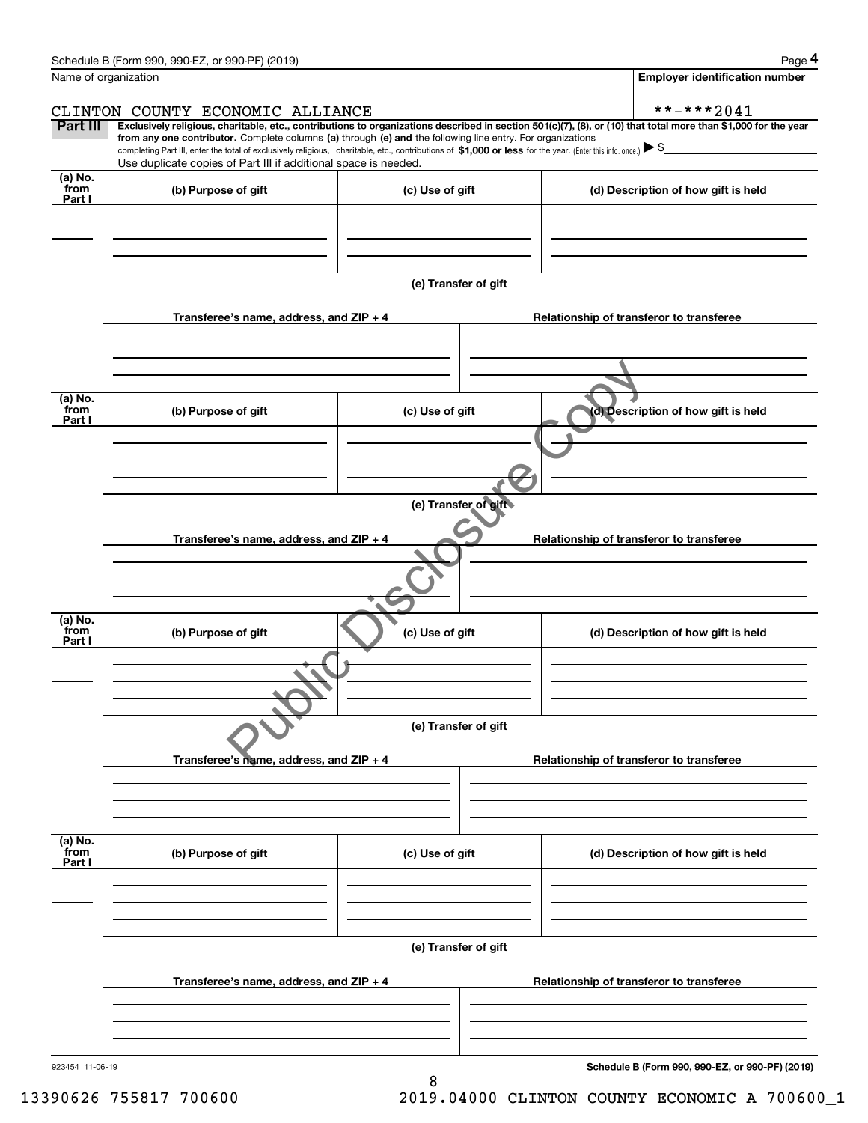| Schedule B (Form 990, 990-EZ, or 990-PF) (2019) | Page |
|-------------------------------------------------|------|
|-------------------------------------------------|------|

|--|--|

|                           | Schedule B (Form 990, 990-EZ, or 990-PF) (2019)                                                                                                              |                      | Page 4                                                                                                                                                         |  |  |  |  |  |
|---------------------------|--------------------------------------------------------------------------------------------------------------------------------------------------------------|----------------------|----------------------------------------------------------------------------------------------------------------------------------------------------------------|--|--|--|--|--|
| Name of organization      |                                                                                                                                                              |                      | <b>Employer identification number</b>                                                                                                                          |  |  |  |  |  |
|                           | CLINTON COUNTY ECONOMIC ALLIANCE                                                                                                                             |                      | **-***2041                                                                                                                                                     |  |  |  |  |  |
| Part III                  | from any one contributor. Complete columns (a) through (e) and the following line entry. For organizations                                                   |                      | Exclusively religious, charitable, etc., contributions to organizations described in section 501(c)(7), (8), or (10) that total more than \$1,000 for the year |  |  |  |  |  |
|                           | completing Part III, enter the total of exclusively religious, charitable, etc., contributions of \$1,000 or less for the year. (Enter this info. once.) \\$ |                      |                                                                                                                                                                |  |  |  |  |  |
| (a) No.                   | Use duplicate copies of Part III if additional space is needed.                                                                                              |                      |                                                                                                                                                                |  |  |  |  |  |
| from<br>Part I            | (b) Purpose of gift                                                                                                                                          | (c) Use of gift      | (d) Description of how gift is held                                                                                                                            |  |  |  |  |  |
|                           |                                                                                                                                                              |                      |                                                                                                                                                                |  |  |  |  |  |
|                           |                                                                                                                                                              | (e) Transfer of gift |                                                                                                                                                                |  |  |  |  |  |
|                           | Transferee's name, address, and ZIP + 4                                                                                                                      |                      | Relationship of transferor to transferee                                                                                                                       |  |  |  |  |  |
|                           |                                                                                                                                                              |                      |                                                                                                                                                                |  |  |  |  |  |
|                           |                                                                                                                                                              |                      |                                                                                                                                                                |  |  |  |  |  |
| (a) No.<br>from<br>Part I | (b) Purpose of gift                                                                                                                                          | (c) Use of gift      | (d) Description of how gift is held                                                                                                                            |  |  |  |  |  |
|                           |                                                                                                                                                              |                      |                                                                                                                                                                |  |  |  |  |  |
|                           |                                                                                                                                                              |                      |                                                                                                                                                                |  |  |  |  |  |
|                           | (e) Transfer of gift                                                                                                                                         |                      |                                                                                                                                                                |  |  |  |  |  |
|                           | Transferee's name, address, and ZIP + 4<br>Relationship of transferor to transferee                                                                          |                      |                                                                                                                                                                |  |  |  |  |  |
|                           |                                                                                                                                                              |                      |                                                                                                                                                                |  |  |  |  |  |
|                           |                                                                                                                                                              |                      |                                                                                                                                                                |  |  |  |  |  |
| (a) No.<br>from<br>Part I | (b) Purpose of gift                                                                                                                                          | (c) Use of gift      | (d) Description of how gift is held                                                                                                                            |  |  |  |  |  |
|                           |                                                                                                                                                              |                      |                                                                                                                                                                |  |  |  |  |  |
|                           |                                                                                                                                                              | (e) Transfer of gift |                                                                                                                                                                |  |  |  |  |  |
|                           |                                                                                                                                                              |                      |                                                                                                                                                                |  |  |  |  |  |
|                           | Transferee's name, address, and $ZIP + 4$                                                                                                                    |                      | Relationship of transferor to transferee                                                                                                                       |  |  |  |  |  |
|                           |                                                                                                                                                              |                      |                                                                                                                                                                |  |  |  |  |  |
| (a) No.<br>from<br>Part I | (b) Purpose of gift                                                                                                                                          | (c) Use of gift      | (d) Description of how gift is held                                                                                                                            |  |  |  |  |  |
|                           |                                                                                                                                                              |                      |                                                                                                                                                                |  |  |  |  |  |
|                           |                                                                                                                                                              |                      |                                                                                                                                                                |  |  |  |  |  |
|                           |                                                                                                                                                              | (e) Transfer of gift |                                                                                                                                                                |  |  |  |  |  |
|                           | Transferee's name, address, and $ZIP + 4$                                                                                                                    |                      | Relationship of transferor to transferee                                                                                                                       |  |  |  |  |  |
|                           |                                                                                                                                                              |                      |                                                                                                                                                                |  |  |  |  |  |
|                           |                                                                                                                                                              |                      |                                                                                                                                                                |  |  |  |  |  |
| 923454 11-06-19           |                                                                                                                                                              |                      | Schedule B (Form 990, 990-EZ, or 990-PF) (2019)                                                                                                                |  |  |  |  |  |

8

13390626 755817 700600 2019.04000 CLINTON COUNTY ECONOMIC A 700600\_1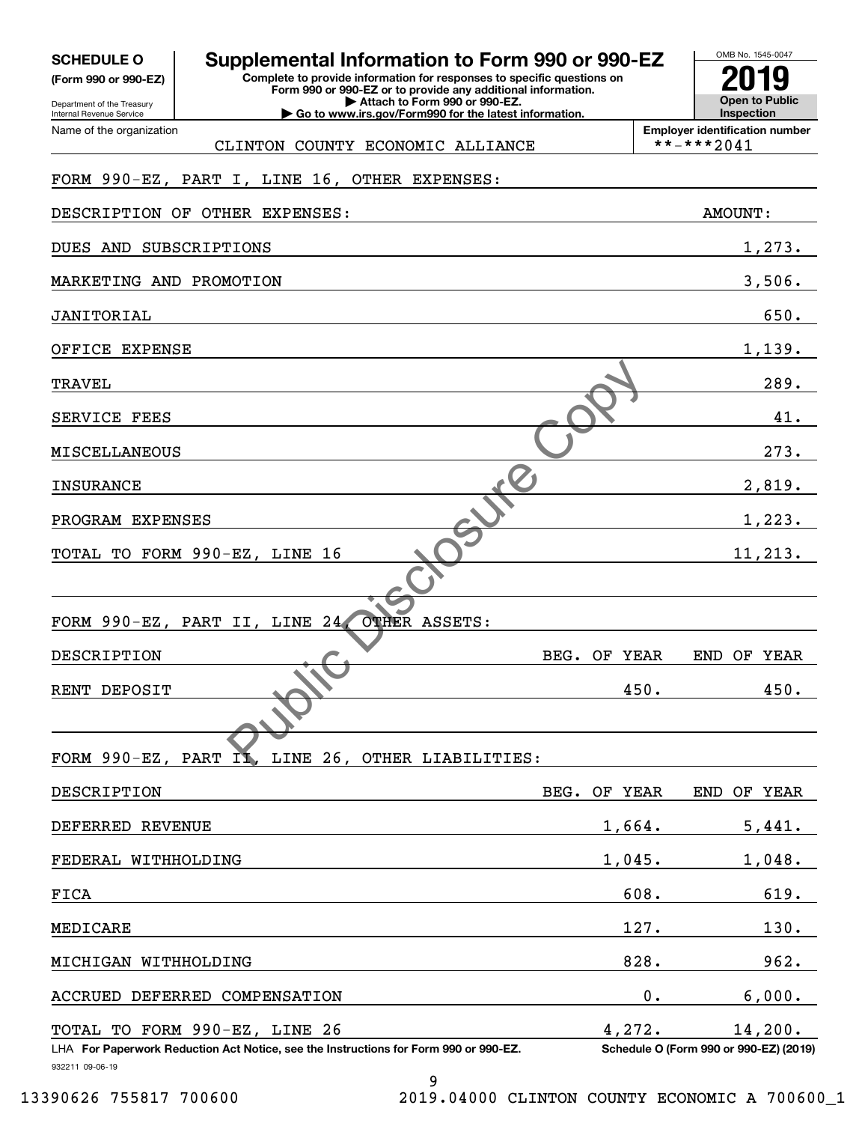| <b>SCHEDULE O</b> |  |  |  |  |  |  |
|-------------------|--|--|--|--|--|--|
|-------------------|--|--|--|--|--|--|

**(Form 990 or 990-EZ)**

Department of the Treasury Internal Revenue Service Name of the organization

## **SCHEDULE O Supplemental Information to Form 990 or 990-EZ**

**Complete to provide information for responses to specific questions on Form 990 or 990-EZ or to provide any additional information. | Attach to Form 990 or 990-EZ. | Go to www.irs.gov/Form990 for the latest information.**

**Open to Public InspectionEmployer identification number 2019**

OMB No. 1545-0047

CLINTON COUNTY ECONOMIC ALLIANCE  $\begin{array}{|c|c|c|c|c|}\hline \text{*} & \text{*}-\text{**}*2041\hline \end{array}$ 

## FORM 990-EZ, PART I, LINE 16, OTHER EXPENSES:

| DESCRIPTION OF OTHER EXPENSES:                                                                          |               | <b>AMOUNT:</b>                         |
|---------------------------------------------------------------------------------------------------------|---------------|----------------------------------------|
| DUES AND SUBSCRIPTIONS                                                                                  |               | 1,273.                                 |
| MARKETING AND PROMOTION                                                                                 |               | 3,506.                                 |
| JANITORIAL                                                                                              |               | 650.                                   |
| OFFICE EXPENSE                                                                                          |               | 1,139.                                 |
| TRAVEL                                                                                                  |               | 289.                                   |
| SERVICE FEES                                                                                            |               | 41.                                    |
| MISCELLANEOUS                                                                                           |               | 273.                                   |
| <b>INSURANCE</b>                                                                                        |               | 2,819.                                 |
| PROGRAM EXPENSES                                                                                        |               | 1,223.                                 |
| TOTAL TO FORM 990-EZ, LINE 16                                                                           |               | 11, 213.                               |
|                                                                                                         |               |                                        |
| OTHER ASSETS:<br>FORM 990-EZ, PART II, LINE 24,                                                         |               |                                        |
| DESCRIPTION                                                                                             | BEG. OF YEAR  | END OF YEAR                            |
| RENT DEPOSIT                                                                                            | 450.          | 450.                                   |
|                                                                                                         |               |                                        |
| FORM 990-EZ, PART II, LINE 26, OTHER LIABILITIES:                                                       |               |                                        |
| DESCRIPTION                                                                                             | BEG. OF YEAR  | END OF YEAR                            |
| DEFERRED REVENUE                                                                                        | 1,664.        | 5,441.                                 |
| FEDERAL WITHHOLDING                                                                                     | 1,045.        | 1,048.                                 |
| FICA                                                                                                    | 608.          | 619.                                   |
| MEDICARE                                                                                                | 127.          | 130.                                   |
| MICHIGAN WITHHOLDING                                                                                    | 828.          | 962.                                   |
| DEFERRED COMPENSATION<br>ACCRUED                                                                        | $\mathbf 0$ . | 6,000.                                 |
| TOTAL TO FORM 990-EZ, LINE 26                                                                           | 4,272.        | 14,200.                                |
| LHA For Paperwork Reduction Act Notice, see the Instructions for Form 990 or 990-EZ.<br>932211 09-06-19 |               | Schedule O (Form 990 or 990-EZ) (2019) |
| 9                                                                                                       |               |                                        |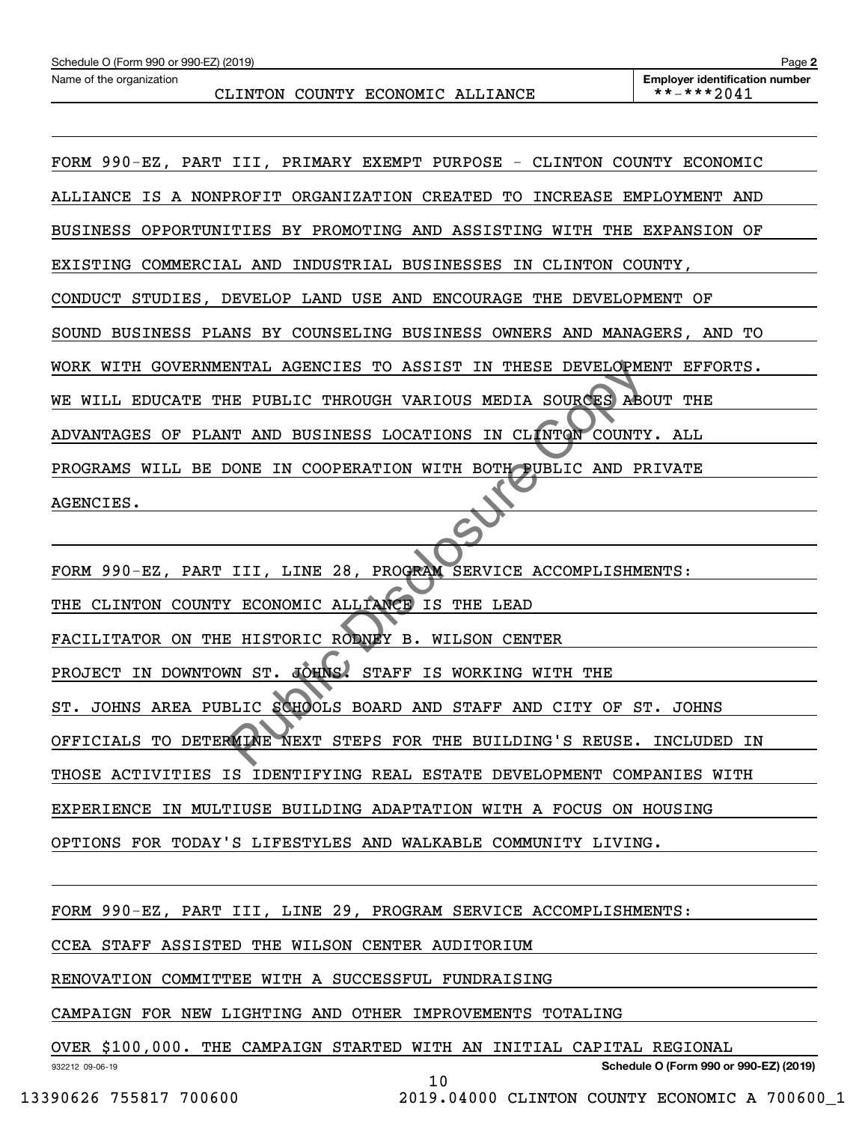FORM 990-EZ, PART III, PRIMARY EXEMPT PURPOSE - CLINTON COUNTY ECONOMIC ALLIANCE IS A NONPROFIT ORGANIZATION CREATED TO INCREASE EMPLOYMENT AND BUSINESS OPPORTUNITIES BY PROMOTING AND ASSISTING WITH THE EXPANSION OF EXISTING COMMERCIAL AND INDUSTRIAL BUSINESSES IN CLINTON COUNTY, CONDUCT STUDIES, DEVELOP LAND USE AND ENCOURAGE THE DEVELOPMENT OF SOUND BUSINESS PLANS BY COUNSELING BUSINESS OWNERS AND MANAGERS, AND TO WORK WITH GOVERNMENTAL AGENCIES TO ASSIST IN THESE DEVELOPMENT EFFORTS. WE WILL EDUCATE THE PUBLIC THROUGH VARIOUS MEDIA SOURCES ABOUT THE ADVANTAGES OF PLANT AND BUSINESS LOCATIONS IN CLINTON COUNTY. ALL PROGRAMS WILL BE DONE IN COOPERATION WITH BOTH PUBLIC AND PRIVATE AGENCIES.

FORM 990-EZ, PART III, LINE 28, PROGRAM SERVICE ACCOMPLISHMENTS: THE CLINTON COUNTY ECONOMIC ALLIANCE IS THE LEAD FACILITATOR ON THE HISTORIC RODNEY B. WILSON CENTER PROJECT IN DOWNTOWN ST. JOHNS. STAFF IS WORKING WITH THE ST. JOHNS AREA PUBLIC SCHOOLS BOARD AND STAFF AND CITY OF ST. JOHNS OFFICIALS TO DETERMINE NEXT STEPS FOR THE BUILDING'S REUSE. INCLUDED IN THOSE ACTIVITIES IS IDENTIFYING REAL ESTATE DEVELOPMENT COMPANIES WITH EXPERIENCE IN MULTIUSE BUILDING ADAPTATION WITH A FOCUS ON HOUSING OPTIONS FOR TODAY'S LIFESTYLES AND WALKABLE COMMUNITY LIVING. E PUBLIC THROUGH VARIOUS MEDIA SOURCES ABOUT THE PUBLIC THROUGH VARIOUS MEDIA SOURCES ABOUT AND BUSINESS LOCATIONS IN CLINTER COUNTY AND PROPERATION WITH BOTH PUBLIC AND PROPERATION WITH BOTH PUBLIC AND PROPERTY CONDUCTED

FORM 990-EZ, PART III, LINE 29, PROGRAM SERVICE ACCOMPLISHMENTS:

CCEA STAFF ASSISTED THE WILSON CENTER AUDITORIUM

RENOVATION COMMITTEE WITH A SUCCESSFUL FUNDRAISING

CAMPAIGN FOR NEW LIGHTING AND OTHER IMPROVEMENTS TOTALING

OVER \$100,000. THE CAMPAIGN STARTED WITH AN INITIAL CAPITAL REGIONAL

10

932212 09-06-19

**Schedule O (Form 990 or 990-EZ) (2019)**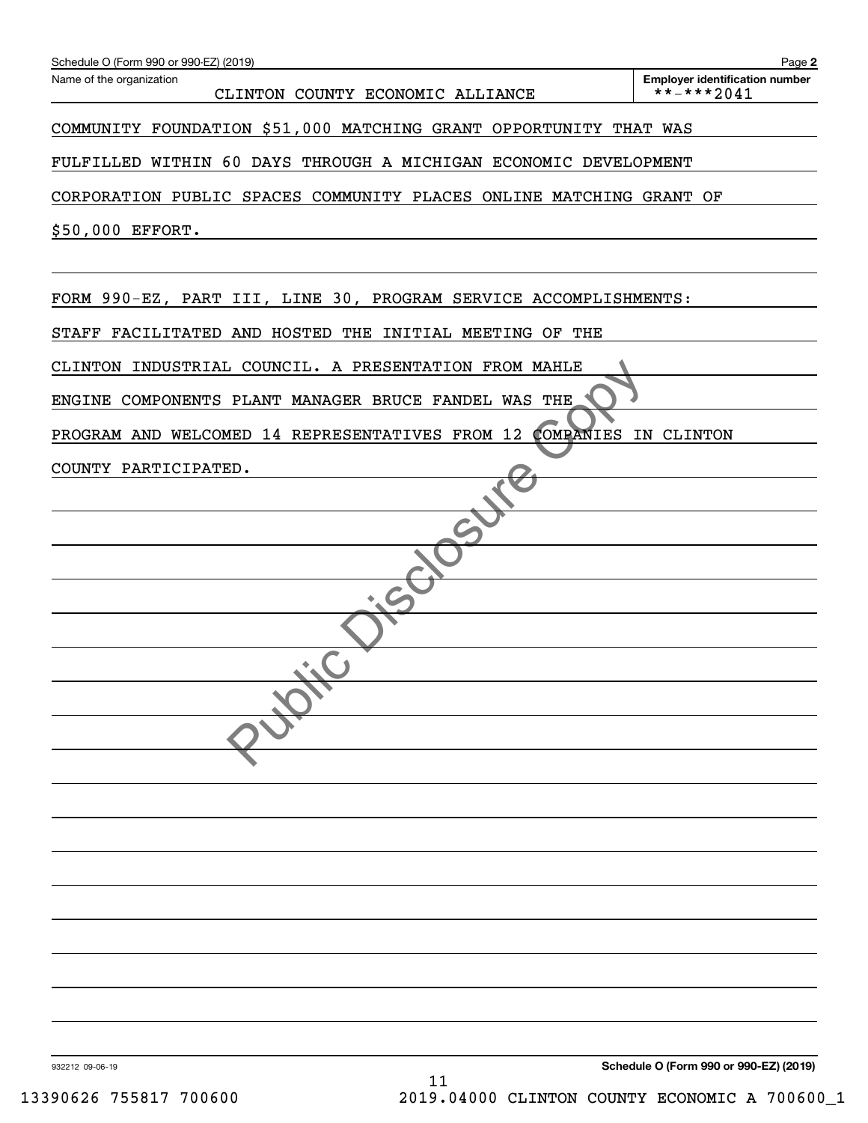| Schedule O (Form 990 or 990-EZ) (2019)                              | Page 2                                              |
|---------------------------------------------------------------------|-----------------------------------------------------|
| Name of the organization<br>CLINTON COUNTY ECONOMIC ALLIANCE        | <b>Employer identification number</b><br>**-***2041 |
| COMMUNITY FOUNDATION \$51,000 MATCHING GRANT OPPORTUNITY THAT WAS   |                                                     |
| FULFILLED WITHIN 60 DAYS THROUGH A MICHIGAN ECONOMIC DEVELOPMENT    |                                                     |
| CORPORATION PUBLIC SPACES COMMUNITY PLACES ONLINE MATCHING GRANT OF |                                                     |
| \$50,000 EFFORT.                                                    |                                                     |
| FORM 990-EZ, PART III, LINE 30, PROGRAM SERVICE ACCOMPLISHMENTS:    |                                                     |
| STAFF FACILITATED AND HOSTED THE INITIAL MEETING OF THE             |                                                     |
| CLINTON INDUSTRIAL COUNCIL. A PRESENTATION FROM MAHLE               |                                                     |
| ENGINE COMPONENTS PLANT MANAGER BRUCE FANDEL WAS THE                |                                                     |
| <b>COMPANIES</b><br>PROGRAM AND WELCOMED 14 REPRESENTATIVES FROM 12 | IN CLINTON                                          |
| COUNTY PARTICIPATED.                                                |                                                     |
|                                                                     |                                                     |
|                                                                     |                                                     |
|                                                                     |                                                     |
|                                                                     |                                                     |
|                                                                     |                                                     |
| $\mathcal{F}_{\mathbf{A}}$                                          |                                                     |
|                                                                     |                                                     |
|                                                                     |                                                     |
|                                                                     |                                                     |
|                                                                     |                                                     |
|                                                                     |                                                     |
|                                                                     |                                                     |
|                                                                     |                                                     |
|                                                                     |                                                     |
|                                                                     |                                                     |
|                                                                     |                                                     |
|                                                                     |                                                     |

932212 09-06-19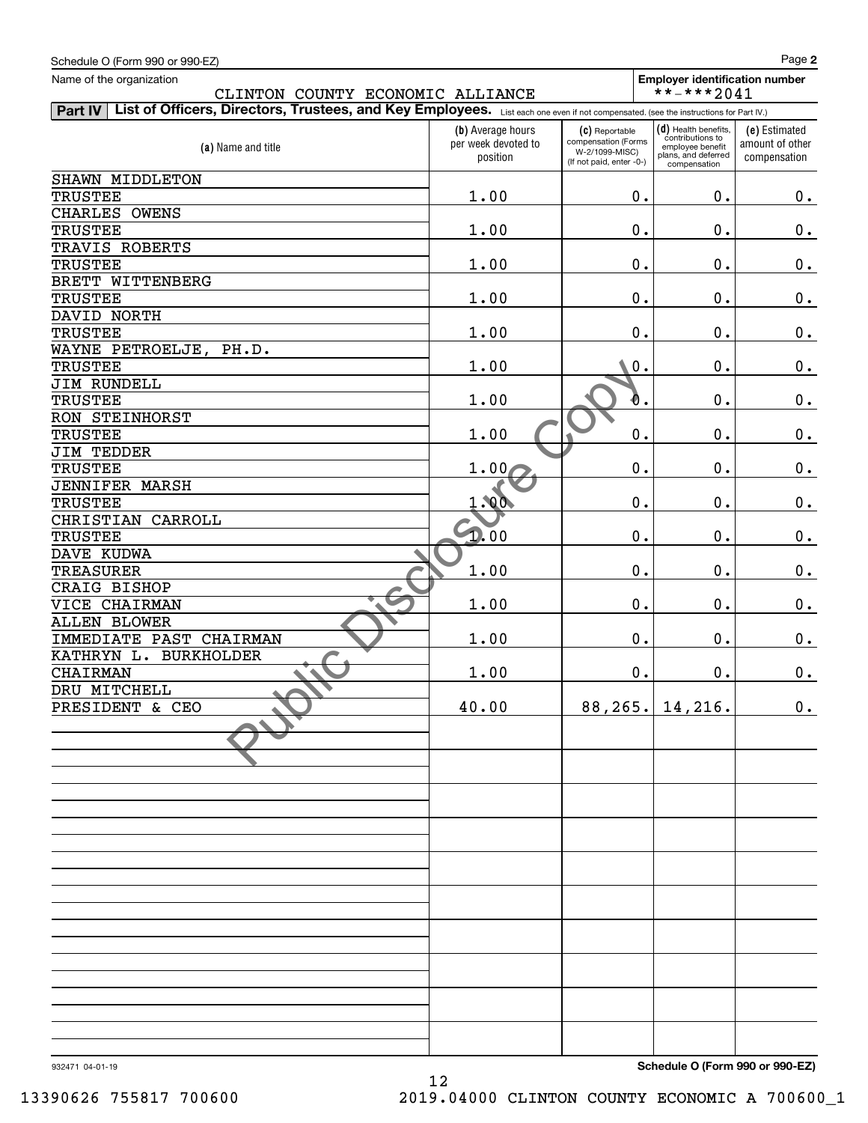| Schedule O (Form 990 or 990-EZ)                                                                                                                 |                                                      |                                                                                     |                                                                                                     | Page 2                                           |
|-------------------------------------------------------------------------------------------------------------------------------------------------|------------------------------------------------------|-------------------------------------------------------------------------------------|-----------------------------------------------------------------------------------------------------|--------------------------------------------------|
| Name of the organization                                                                                                                        |                                                      |                                                                                     | <b>Employer identification number</b>                                                               |                                                  |
| CLINTON COUNTY ECONOMIC ALLIANCE                                                                                                                |                                                      |                                                                                     | **-***2041                                                                                          |                                                  |
| List of Officers, Directors, Trustees, and Key Employees. List each one even if not compensated. (see the instructions for Part IV.)<br>Part IV |                                                      |                                                                                     |                                                                                                     |                                                  |
| (a) Name and title                                                                                                                              | (b) Average hours<br>per week devoted to<br>position | (C) Reportable<br>compensation (Forms<br>W-2/1099-MISC)<br>(If not paid, enter -0-) | (d) Health benefits,<br>contributions to<br>employee benefit<br>plans, and deferred<br>compensation | (e) Estimated<br>amount of other<br>compensation |
| SHAWN MIDDLETON                                                                                                                                 |                                                      |                                                                                     |                                                                                                     |                                                  |
| <b>TRUSTEE</b>                                                                                                                                  | 1.00                                                 | 0.                                                                                  | 0.                                                                                                  | 0.                                               |
| CHARLES OWENS                                                                                                                                   |                                                      |                                                                                     |                                                                                                     |                                                  |
| <b>TRUSTEE</b>                                                                                                                                  | 1.00                                                 | 0.                                                                                  | 0.                                                                                                  | 0.                                               |
| TRAVIS ROBERTS                                                                                                                                  |                                                      |                                                                                     |                                                                                                     |                                                  |
| <b>TRUSTEE</b>                                                                                                                                  | 1.00                                                 | $0$ .                                                                               | 0.                                                                                                  | 0.                                               |
| BRETT WITTENBERG                                                                                                                                |                                                      |                                                                                     |                                                                                                     |                                                  |
| <b>TRUSTEE</b>                                                                                                                                  | 1.00                                                 | $0$ .                                                                               | 0.                                                                                                  | 0.                                               |
| DAVID NORTH                                                                                                                                     |                                                      |                                                                                     |                                                                                                     |                                                  |
| <b>TRUSTEE</b>                                                                                                                                  | 1.00                                                 | $0$ .                                                                               | 0.                                                                                                  | 0.                                               |
| WAYNE PETROELJE, PH.D.                                                                                                                          |                                                      |                                                                                     |                                                                                                     |                                                  |
| <b>TRUSTEE</b>                                                                                                                                  | 1.00                                                 | 0.                                                                                  | 0.                                                                                                  | 0.                                               |
| JIM RUNDELL                                                                                                                                     |                                                      |                                                                                     |                                                                                                     |                                                  |
| <b>TRUSTEE</b>                                                                                                                                  | 1.00                                                 | Đ.                                                                                  | 0.                                                                                                  | 0.                                               |
| RON STEINHORST                                                                                                                                  |                                                      |                                                                                     |                                                                                                     |                                                  |
| <b>TRUSTEE</b>                                                                                                                                  | 1.00                                                 | 0.                                                                                  | 0.                                                                                                  | 0.                                               |
| <b>JIM TEDDER</b>                                                                                                                               |                                                      |                                                                                     |                                                                                                     |                                                  |
| <b>TRUSTEE</b>                                                                                                                                  | 1.004                                                | 0.                                                                                  | 0.                                                                                                  | 0.                                               |
| <b>JENNIFER MARSH</b>                                                                                                                           |                                                      |                                                                                     |                                                                                                     |                                                  |
| <b>TRUSTEE</b>                                                                                                                                  | 1.00                                                 | $0$ .                                                                               | 0.                                                                                                  | 0.                                               |
| CHRISTIAN<br>CARROLL                                                                                                                            |                                                      |                                                                                     |                                                                                                     |                                                  |
| <b>TRUSTEE</b>                                                                                                                                  | 1.00                                                 | 0.                                                                                  | 0.                                                                                                  | 0.                                               |
| DAVE KUDWA                                                                                                                                      |                                                      |                                                                                     |                                                                                                     |                                                  |
| <b>TREASURER</b>                                                                                                                                | 1.00                                                 | 0.                                                                                  | 0.                                                                                                  | 0.                                               |
| CRAIG BISHOP                                                                                                                                    |                                                      |                                                                                     |                                                                                                     |                                                  |
| VICE CHAIRMAN                                                                                                                                   | 1.00                                                 | 0.                                                                                  | 0.                                                                                                  | 0.                                               |
| <b>ALLEN BLOWER</b>                                                                                                                             |                                                      |                                                                                     |                                                                                                     |                                                  |
| IMMEDIATE PAST CHAIRMAN                                                                                                                         | 1.00                                                 | 0.                                                                                  | $0$ .                                                                                               | 0.                                               |
| KATHRYN L. BURKHOLDER                                                                                                                           |                                                      |                                                                                     |                                                                                                     |                                                  |
| <b>CHAIRMAN</b>                                                                                                                                 | 1.00                                                 | $\mathbf 0$ .                                                                       | $0$ .                                                                                               | 0.                                               |
| DRU MITCHELL                                                                                                                                    |                                                      |                                                                                     |                                                                                                     |                                                  |
| PRESIDENT & CEO                                                                                                                                 | 40.00                                                |                                                                                     | $88, 265.$ 14, 216.                                                                                 | 0.                                               |
|                                                                                                                                                 |                                                      |                                                                                     |                                                                                                     |                                                  |
|                                                                                                                                                 |                                                      |                                                                                     |                                                                                                     |                                                  |
|                                                                                                                                                 |                                                      |                                                                                     |                                                                                                     |                                                  |
|                                                                                                                                                 |                                                      |                                                                                     |                                                                                                     |                                                  |
|                                                                                                                                                 |                                                      |                                                                                     |                                                                                                     |                                                  |
|                                                                                                                                                 |                                                      |                                                                                     |                                                                                                     |                                                  |
|                                                                                                                                                 |                                                      |                                                                                     |                                                                                                     |                                                  |
|                                                                                                                                                 |                                                      |                                                                                     |                                                                                                     |                                                  |
|                                                                                                                                                 |                                                      |                                                                                     |                                                                                                     |                                                  |
|                                                                                                                                                 |                                                      |                                                                                     |                                                                                                     |                                                  |
|                                                                                                                                                 |                                                      |                                                                                     |                                                                                                     |                                                  |
|                                                                                                                                                 |                                                      |                                                                                     |                                                                                                     |                                                  |
|                                                                                                                                                 |                                                      |                                                                                     |                                                                                                     |                                                  |
|                                                                                                                                                 |                                                      |                                                                                     |                                                                                                     |                                                  |
|                                                                                                                                                 |                                                      |                                                                                     |                                                                                                     |                                                  |
|                                                                                                                                                 |                                                      |                                                                                     |                                                                                                     |                                                  |
|                                                                                                                                                 |                                                      |                                                                                     |                                                                                                     |                                                  |
|                                                                                                                                                 |                                                      |                                                                                     |                                                                                                     |                                                  |
|                                                                                                                                                 |                                                      |                                                                                     |                                                                                                     |                                                  |
|                                                                                                                                                 |                                                      |                                                                                     |                                                                                                     |                                                  |
|                                                                                                                                                 |                                                      |                                                                                     |                                                                                                     |                                                  |